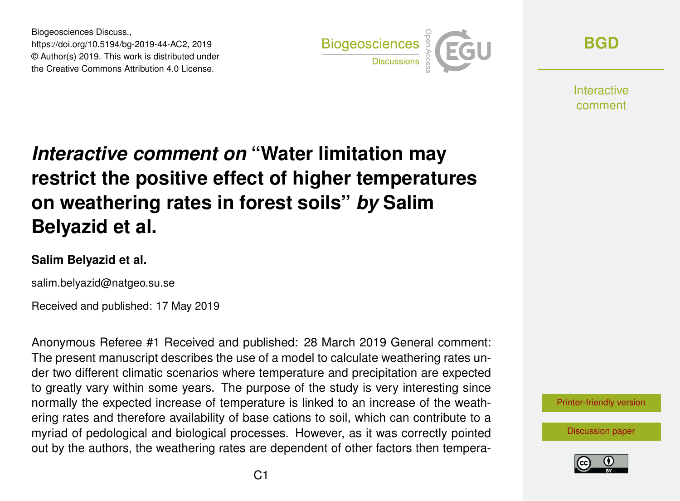Biogeosciences Discuss., https://doi.org/10.5194/bg-2019-44-AC2, 2019 © Author(s) 2019. This work is distributed under the Creative Commons Attribution 4.0 License.



**[BGD](https://www.biogeosciences-discuss.net/)**

Interactive comment

# *Interactive comment on* **"Water limitation may restrict the positive effect of higher temperatures on weathering rates in forest soils"** *by* **Salim Belyazid et al.**

#### **Salim Belyazid et al.**

salim.belyazid@natgeo.su.se

Received and published: 17 May 2019

Anonymous Referee #1 Received and published: 28 March 2019 General comment: The present manuscript describes the use of a model to calculate weathering rates under two different climatic scenarios where temperature and precipitation are expected to greatly vary within some years. The purpose of the study is very interesting since normally the expected increase of temperature is linked to an increase of the weathering rates and therefore availability of base cations to soil, which can contribute to a myriad of pedological and biological processes. However, as it was correctly pointed out by the authors, the weathering rates are dependent of other factors then tempera-



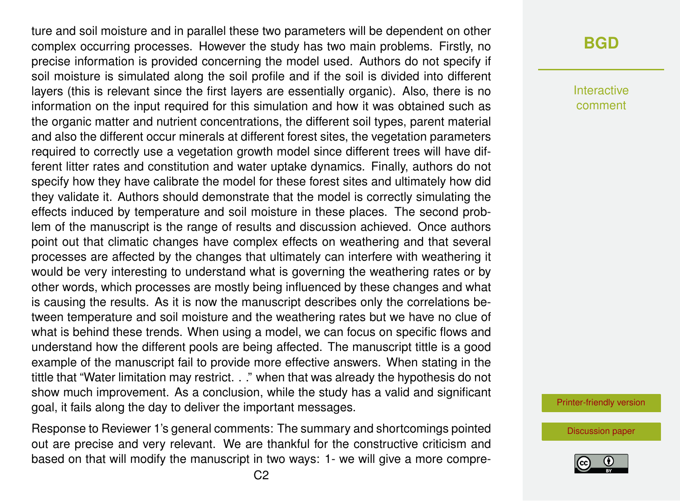ture and soil moisture and in parallel these two parameters will be dependent on other complex occurring processes. However the study has two main problems. Firstly, no precise information is provided concerning the model used. Authors do not specify if soil moisture is simulated along the soil profile and if the soil is divided into different layers (this is relevant since the first layers are essentially organic). Also, there is no information on the input required for this simulation and how it was obtained such as the organic matter and nutrient concentrations, the different soil types, parent material and also the different occur minerals at different forest sites, the vegetation parameters required to correctly use a vegetation growth model since different trees will have different litter rates and constitution and water uptake dynamics. Finally, authors do not specify how they have calibrate the model for these forest sites and ultimately how did they validate it. Authors should demonstrate that the model is correctly simulating the effects induced by temperature and soil moisture in these places. The second problem of the manuscript is the range of results and discussion achieved. Once authors point out that climatic changes have complex effects on weathering and that several processes are affected by the changes that ultimately can interfere with weathering it would be very interesting to understand what is governing the weathering rates or by other words, which processes are mostly being influenced by these changes and what is causing the results. As it is now the manuscript describes only the correlations between temperature and soil moisture and the weathering rates but we have no clue of what is behind these trends. When using a model, we can focus on specific flows and understand how the different pools are being affected. The manuscript tittle is a good example of the manuscript fail to provide more effective answers. When stating in the tittle that "Water limitation may restrict. . ." when that was already the hypothesis do not show much improvement. As a conclusion, while the study has a valid and significant goal, it fails along the day to deliver the important messages.

Response to Reviewer 1's general comments: The summary and shortcomings pointed out are precise and very relevant. We are thankful for the constructive criticism and based on that will modify the manuscript in two ways: 1- we will give a more compre-

## **[BGD](https://www.biogeosciences-discuss.net/)**

Interactive comment

[Printer-friendly version](https://www.biogeosciences-discuss.net/bg-2019-44/bg-2019-44-AC2-print.pdf)

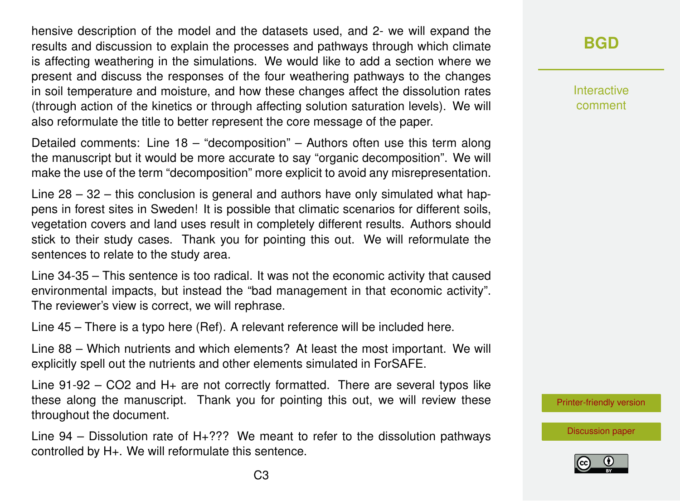hensive description of the model and the datasets used, and 2- we will expand the results and discussion to explain the processes and pathways through which climate is affecting weathering in the simulations. We would like to add a section where we present and discuss the responses of the four weathering pathways to the changes in soil temperature and moisture, and how these changes affect the dissolution rates (through action of the kinetics or through affecting solution saturation levels). We will also reformulate the title to better represent the core message of the paper.

Detailed comments: Line 18 – "decomposition" – Authors often use this term along the manuscript but it would be more accurate to say "organic decomposition". We will make the use of the term "decomposition" more explicit to avoid any misrepresentation.

Line 28 – 32 – this conclusion is general and authors have only simulated what happens in forest sites in Sweden! It is possible that climatic scenarios for different soils, vegetation covers and land uses result in completely different results. Authors should stick to their study cases. Thank you for pointing this out. We will reformulate the sentences to relate to the study area.

Line 34-35 – This sentence is too radical. It was not the economic activity that caused environmental impacts, but instead the "bad management in that economic activity". The reviewer's view is correct, we will rephrase.

Line 45 – There is a typo here (Ref). A relevant reference will be included here.

Line 88 – Which nutrients and which elements? At least the most important. We will explicitly spell out the nutrients and other elements simulated in ForSAFE.

Line  $91-92 - CO2$  and  $H<sub>+</sub>$  are not correctly formatted. There are several typos like these along the manuscript. Thank you for pointing this out, we will review these throughout the document.

Line  $94 -$  Dissolution rate of H $+$ ??? We meant to refer to the dissolution pathways controlled by H+. We will reformulate this sentence.

# **[BGD](https://www.biogeosciences-discuss.net/)**

Interactive comment

[Printer-friendly version](https://www.biogeosciences-discuss.net/bg-2019-44/bg-2019-44-AC2-print.pdf)

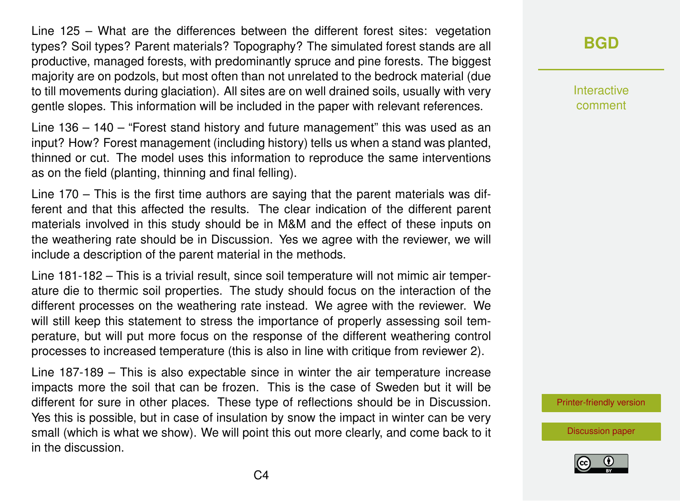Line 125 – What are the differences between the different forest sites: vegetation types? Soil types? Parent materials? Topography? The simulated forest stands are all productive, managed forests, with predominantly spruce and pine forests. The biggest majority are on podzols, but most often than not unrelated to the bedrock material (due to till movements during glaciation). All sites are on well drained soils, usually with very gentle slopes. This information will be included in the paper with relevant references.

Line 136 – 140 – "Forest stand history and future management" this was used as an input? How? Forest management (including history) tells us when a stand was planted, thinned or cut. The model uses this information to reproduce the same interventions as on the field (planting, thinning and final felling).

Line 170 – This is the first time authors are saying that the parent materials was different and that this affected the results. The clear indication of the different parent materials involved in this study should be in M&M and the effect of these inputs on the weathering rate should be in Discussion. Yes we agree with the reviewer, we will include a description of the parent material in the methods.

Line 181-182 – This is a trivial result, since soil temperature will not mimic air temperature die to thermic soil properties. The study should focus on the interaction of the different processes on the weathering rate instead. We agree with the reviewer. We will still keep this statement to stress the importance of properly assessing soil temperature, but will put more focus on the response of the different weathering control processes to increased temperature (this is also in line with critique from reviewer 2).

Line 187-189 – This is also expectable since in winter the air temperature increase impacts more the soil that can be frozen. This is the case of Sweden but it will be different for sure in other places. These type of reflections should be in Discussion. Yes this is possible, but in case of insulation by snow the impact in winter can be very small (which is what we show). We will point this out more clearly, and come back to it in the discussion.

**[BGD](https://www.biogeosciences-discuss.net/)**

Interactive comment

[Printer-friendly version](https://www.biogeosciences-discuss.net/bg-2019-44/bg-2019-44-AC2-print.pdf)